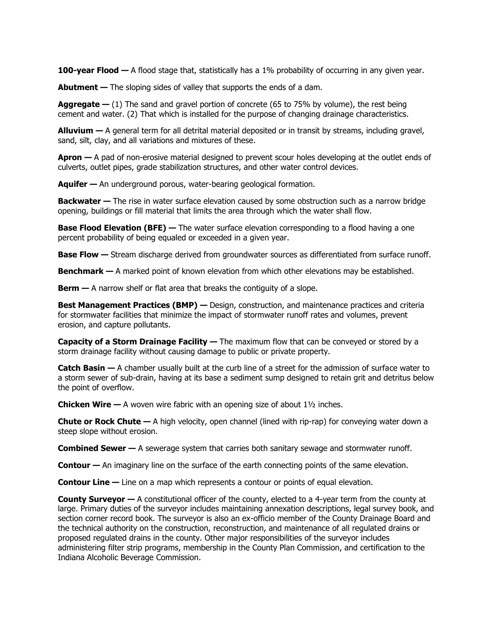**100-year Flood —** A flood stage that, statistically has a 1% probability of occurring in any given year.

**Abutment** — The sloping sides of valley that supports the ends of a dam.

**Aggregate —** (1) The sand and gravel portion of concrete (65 to 75% by volume), the rest being cement and water. (2) That which is installed for the purpose of changing drainage characteristics.

**Alluvium —** A general term for all detrital material deposited or in transit by streams, including gravel, sand, silt, clay, and all variations and mixtures of these.

**Apron —** A pad of non-erosive material designed to prevent scour holes developing at the outlet ends of culverts, outlet pipes, grade stabilization structures, and other water control devices.

**Aquifer —** An underground porous, water-bearing geological formation.

**Backwater** — The rise in water surface elevation caused by some obstruction such as a narrow bridge opening, buildings or fill material that limits the area through which the water shall flow.

**Base Flood Elevation (BFE) — The water surface elevation corresponding to a flood having a one** percent probability of being equaled or exceeded in a given year.

**Base Flow —** Stream discharge derived from groundwater sources as differentiated from surface runoff.

**Benchmark —** A marked point of known elevation from which other elevations may be established.

**Berm —** A narrow shelf or flat area that breaks the contiguity of a slope.

**Best Management Practices (BMP) — Design, construction, and maintenance practices and criteria** for stormwater facilities that minimize the impact of stormwater runoff rates and volumes, prevent erosion, and capture pollutants.

**Capacity of a Storm Drainage Facility —** The maximum flow that can be conveyed or stored by a storm drainage facility without causing damage to public or private property.

**Catch Basin —** A chamber usually built at the curb line of a street for the admission of surface water to a storm sewer of sub-drain, having at its base a sediment sump designed to retain grit and detritus below the point of overflow.

**Chicken Wire —** A woven wire fabric with an opening size of about 1<sup>1</sup>/<sub>2</sub> inches.

**Chute or Rock Chute —** A high velocity, open channel (lined with rip-rap) for conveying water down a steep slope without erosion.

**Combined Sewer** — A sewerage system that carries both sanitary sewage and stormwater runoff.

**Contour —** An imaginary line on the surface of the earth connecting points of the same elevation.

**Contour Line —** Line on a map which represents a contour or points of equal elevation.

**County Surveyor —** A constitutional officer of the county, elected to a 4-year term from the county at large. Primary duties of the surveyor includes maintaining annexation descriptions, legal survey book, and section corner record book. The surveyor is also an ex-officio member of the County Drainage Board and the technical authority on the construction, reconstruction, and maintenance of all regulated drains or proposed regulated drains in the county. Other major responsibilities of the surveyor includes administering filter strip programs, membership in the County Plan Commission, and certification to the Indiana Alcoholic Beverage Commission.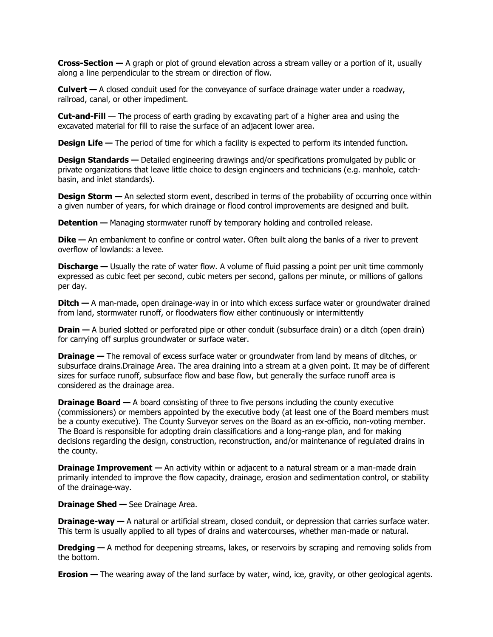**Cross-Section —** A graph or plot of ground elevation across a stream valley or a portion of it, usually along a line perpendicular to the stream or direction of flow.

**Culvert —** A closed conduit used for the conveyance of surface drainage water under a roadway, railroad, canal, or other impediment.

**Cut-and-Fill** — The process of earth grading by excavating part of a higher area and using the excavated material for fill to raise the surface of an adjacent lower area.

**Design Life — The period of time for which a facility is expected to perform its intended function.** 

**Design Standards** — Detailed engineering drawings and/or specifications promulgated by public or private organizations that leave little choice to design engineers and technicians (e.g. manhole, catchbasin, and inlet standards).

**Design Storm — An selected storm event, described in terms of the probability of occurring once within** a given number of years, for which drainage or flood control improvements are designed and built.

**Detention** — Managing stormwater runoff by temporary holding and controlled release.

**Dike** — An embankment to confine or control water. Often built along the banks of a river to prevent overflow of lowlands: a levee.

**Discharge** — Usually the rate of water flow. A volume of fluid passing a point per unit time commonly expressed as cubic feet per second, cubic meters per second, gallons per minute, or millions of gallons per day.

**Ditch —** A man-made, open drainage-way in or into which excess surface water or groundwater drained from land, stormwater runoff, or floodwaters flow either continuously or intermittently

**Drain** — A buried slotted or perforated pipe or other conduit (subsurface drain) or a ditch (open drain) for carrying off surplus groundwater or surface water.

**Drainage** — The removal of excess surface water or groundwater from land by means of ditches, or subsurface drains.Drainage Area. The area draining into a stream at a given point. It may be of different sizes for surface runoff, subsurface flow and base flow, but generally the surface runoff area is considered as the drainage area.

**Drainage Board —** A board consisting of three to five persons including the county executive (commissioners) or members appointed by the executive body (at least one of the Board members must be a county executive). The County Surveyor serves on the Board as an ex-officio, non-voting member. The Board is responsible for adopting drain classifications and a long-range plan, and for making decisions regarding the design, construction, reconstruction, and/or maintenance of regulated drains in the county.

**Drainage Improvement** – An activity within or adjacent to a natural stream or a man-made drain primarily intended to improve the flow capacity, drainage, erosion and sedimentation control, or stability of the drainage-way.

**Drainage Shed —** See Drainage Area.

**Drainage-way** — A natural or artificial stream, closed conduit, or depression that carries surface water. This term is usually applied to all types of drains and watercourses, whether man-made or natural.

**Dredging —** A method for deepening streams, lakes, or reservoirs by scraping and removing solids from the bottom.

**Erosion** — The wearing away of the land surface by water, wind, ice, gravity, or other geological agents.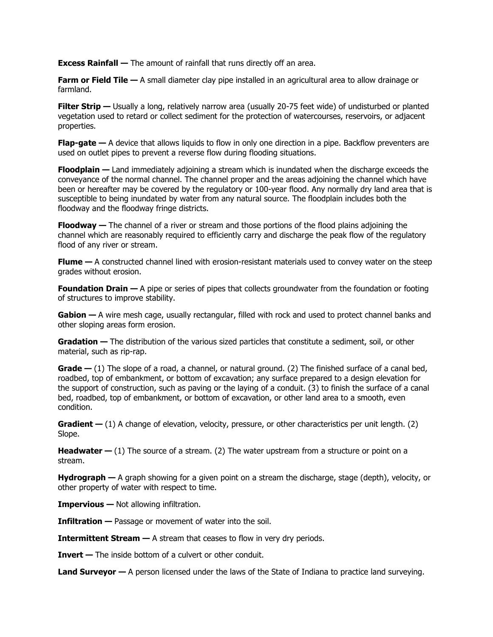**Excess Rainfall —** The amount of rainfall that runs directly off an area.

**Farm or Field Tile —** A small diameter clay pipe installed in an agricultural area to allow drainage or farmland.

**Filter Strip** — Usually a long, relatively narrow area (usually 20-75 feet wide) of undisturbed or planted vegetation used to retard or collect sediment for the protection of watercourses, reservoirs, or adjacent properties.

**Flap-gate** — A device that allows liquids to flow in only one direction in a pipe. Backflow preventers are used on outlet pipes to prevent a reverse flow during flooding situations.

**Floodplain —** Land immediately adjoining a stream which is inundated when the discharge exceeds the conveyance of the normal channel. The channel proper and the areas adjoining the channel which have been or hereafter may be covered by the regulatory or 100-year flood. Any normally dry land area that is susceptible to being inundated by water from any natural source. The floodplain includes both the floodway and the floodway fringe districts.

**Floodway —** The channel of a river or stream and those portions of the flood plains adjoining the channel which are reasonably required to efficiently carry and discharge the peak flow of the regulatory flood of any river or stream.

**Flume** – A constructed channel lined with erosion-resistant materials used to convey water on the steep grades without erosion.

**Foundation Drain —** A pipe or series of pipes that collects groundwater from the foundation or footing of structures to improve stability.

**Gabion —** A wire mesh cage, usually rectangular, filled with rock and used to protect channel banks and other sloping areas form erosion.

**Gradation —** The distribution of the various sized particles that constitute a sediment, soil, or other material, such as rip-rap.

**Grade** – (1) The slope of a road, a channel, or natural ground. (2) The finished surface of a canal bed, roadbed, top of embankment, or bottom of excavation; any surface prepared to a design elevation for the support of construction, such as paving or the laying of a conduit. (3) to finish the surface of a canal bed, roadbed, top of embankment, or bottom of excavation, or other land area to a smooth, even condition.

**Gradient** — (1) A change of elevation, velocity, pressure, or other characteristics per unit length. (2) Slope.

**Headwater**  $-$  (1) The source of a stream. (2) The water upstream from a structure or point on a stream.

**Hydrograph —** A graph showing for a given point on a stream the discharge, stage (depth), velocity, or other property of water with respect to time.

**Impervious —** Not allowing infiltration.

**Infiltration —** Passage or movement of water into the soil.

**Intermittent Stream** — A stream that ceases to flow in very dry periods.

**Invert —** The inside bottom of a culvert or other conduit.

**Land Surveyor —** A person licensed under the laws of the State of Indiana to practice land surveying.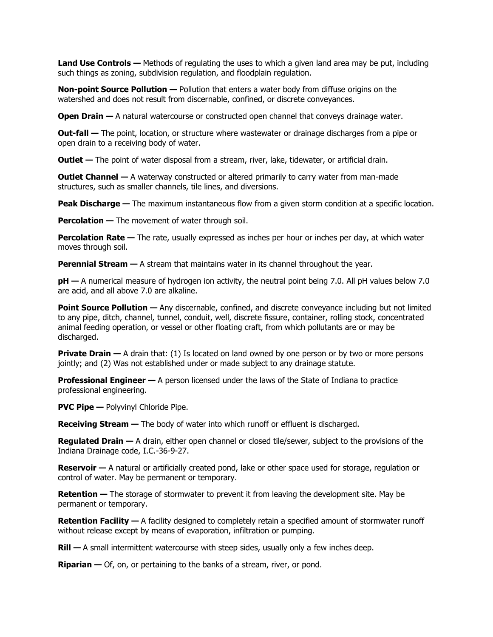**Land Use Controls —** Methods of regulating the uses to which a given land area may be put, including such things as zoning, subdivision regulation, and floodplain regulation.

**Non-point Source Pollution —** Pollution that enters a water body from diffuse origins on the watershed and does not result from discernable, confined, or discrete conveyances.

**Open Drain** — A natural watercourse or constructed open channel that conveys drainage water.

**Out-fall —** The point, location, or structure where wastewater or drainage discharges from a pipe or open drain to a receiving body of water.

**Outlet** — The point of water disposal from a stream, river, lake, tidewater, or artificial drain.

**Outlet Channel** - A waterway constructed or altered primarily to carry water from man-made structures, such as smaller channels, tile lines, and diversions.

**Peak Discharge** — The maximum instantaneous flow from a given storm condition at a specific location.

**Percolation —** The movement of water through soil.

**Percolation Rate** — The rate, usually expressed as inches per hour or inches per day, at which water moves through soil.

**Perennial Stream** — A stream that maintains water in its channel throughout the year.

**pH** — A numerical measure of hydrogen ion activity, the neutral point being 7.0. All pH values below 7.0 are acid, and all above 7.0 are alkaline.

**Point Source Pollution —** Any discernable, confined, and discrete conveyance including but not limited to any pipe, ditch, channel, tunnel, conduit, well, discrete fissure, container, rolling stock, concentrated animal feeding operation, or vessel or other floating craft, from which pollutants are or may be discharged.

**Private Drain** — A drain that: (1) Is located on land owned by one person or by two or more persons jointly; and (2) Was not established under or made subject to any drainage statute.

**Professional Engineer —** A person licensed under the laws of the State of Indiana to practice professional engineering.

**PVC Pipe —** Polyvinyl Chloride Pipe.

**Receiving Stream —** The body of water into which runoff or effluent is discharged.

**Regulated Drain —** A drain, either open channel or closed tile/sewer, subject to the provisions of the Indiana Drainage code, I.C.-36-9-27.

**Reservoir** — A natural or artificially created pond, lake or other space used for storage, regulation or control of water. May be permanent or temporary.

**Retention —** The storage of stormwater to prevent it from leaving the development site. May be permanent or temporary.

**Retention Facility —** A facility designed to completely retain a specified amount of stormwater runoff without release except by means of evaporation, infiltration or pumping.

**Rill —** A small intermittent watercourse with steep sides, usually only a few inches deep.

**Riparian —** Of, on, or pertaining to the banks of a stream, river, or pond.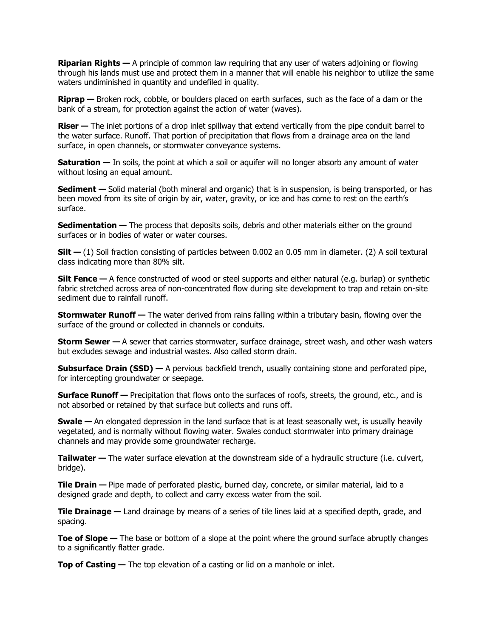**Riparian Rights —** A principle of common law requiring that any user of waters adjoining or flowing through his lands must use and protect them in a manner that will enable his neighbor to utilize the same waters undiminished in quantity and undefiled in quality.

**Riprap —** Broken rock, cobble, or boulders placed on earth surfaces, such as the face of a dam or the bank of a stream, for protection against the action of water (waves).

**Riser** — The inlet portions of a drop inlet spillway that extend vertically from the pipe conduit barrel to the water surface. Runoff. That portion of precipitation that flows from a drainage area on the land surface, in open channels, or stormwater conveyance systems.

**Saturation** — In soils, the point at which a soil or aquifer will no longer absorb any amount of water without losing an equal amount.

**Sediment** — Solid material (both mineral and organic) that is in suspension, is being transported, or has been moved from its site of origin by air, water, gravity, or ice and has come to rest on the earth's surface.

**Sedimentation —** The process that deposits soils, debris and other materials either on the ground surfaces or in bodies of water or water courses.

**Silt —** (1) Soil fraction consisting of particles between 0.002 an 0.05 mm in diameter. (2) A soil textural class indicating more than 80% silt.

**Silt Fence —** A fence constructed of wood or steel supports and either natural (e.g. burlap) or synthetic fabric stretched across area of non-concentrated flow during site development to trap and retain on-site sediment due to rainfall runoff.

**Stormwater Runoff —** The water derived from rains falling within a tributary basin, flowing over the surface of the ground or collected in channels or conduits.

**Storm Sewer —** A sewer that carries stormwater, surface drainage, street wash, and other wash waters but excludes sewage and industrial wastes. Also called storm drain.

**Subsurface Drain (SSD) —** A pervious backfield trench, usually containing stone and perforated pipe, for intercepting groundwater or seepage.

**Surface Runoff —** Precipitation that flows onto the surfaces of roofs, streets, the ground, etc., and is not absorbed or retained by that surface but collects and runs off.

**Swale —** An elongated depression in the land surface that is at least seasonally wet, is usually heavily vegetated, and is normally without flowing water. Swales conduct stormwater into primary drainage channels and may provide some groundwater recharge.

**Tailwater —** The water surface elevation at the downstream side of a hydraulic structure (i.e. culvert, bridge).

**Tile Drain —** Pipe made of perforated plastic, burned clay, concrete, or similar material, laid to a designed grade and depth, to collect and carry excess water from the soil.

**Tile Drainage —** Land drainage by means of a series of tile lines laid at a specified depth, grade, and spacing.

**Toe of Slope —** The base or bottom of a slope at the point where the ground surface abruptly changes to a significantly flatter grade.

**Top of Casting —** The top elevation of a casting or lid on a manhole or inlet.